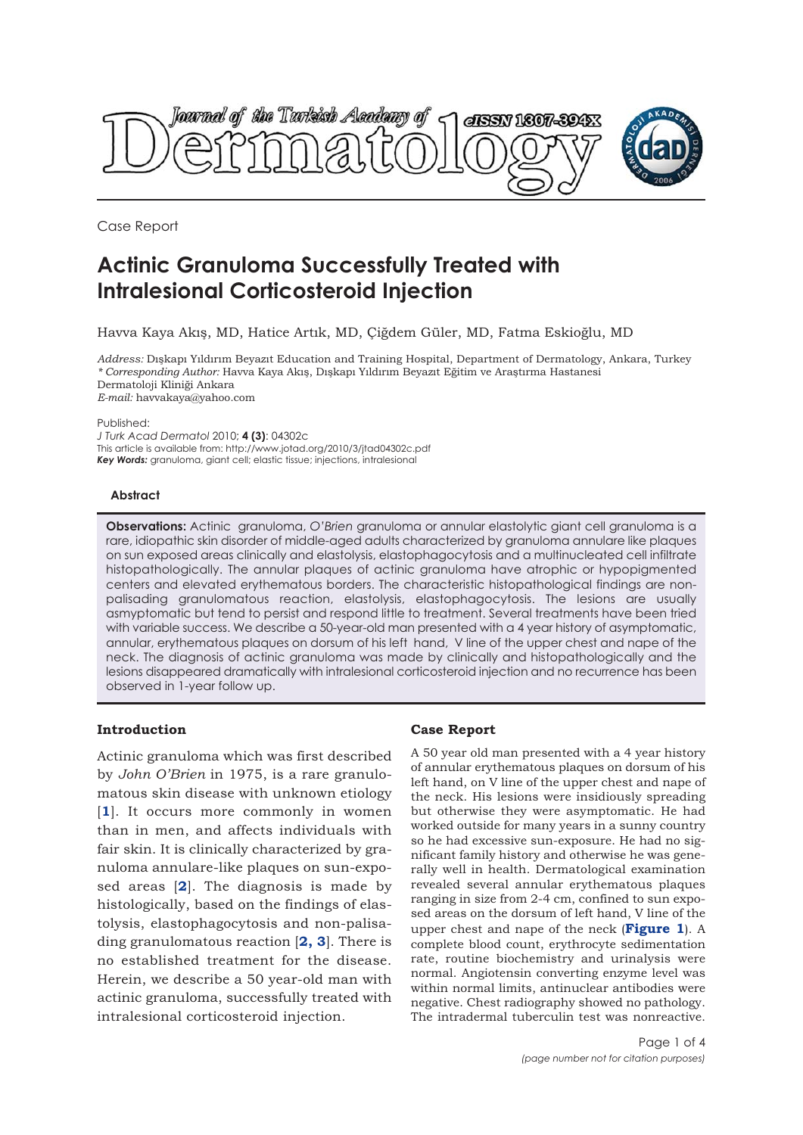

Case Report

# **Actinic Granuloma Successfully Treated with Intralesional Corticosteroid Injection**

Havva Kaya Akış, MD, Hatice Artık, MD, Çiğdem Güler, MD, Fatma Eskioğlu, MD

*Address:* Dışkapı Yıldırım Beyazıt Education and Training Hospital, Department of Dermatology, Ankara, Turkey *\* Corresponding Author:* Havva Kaya Akış, Dışkapı Yıldırım Beyazıt Eğitim ve Araştırma Hastanesi Dermatoloji Kliniği Ankara *E-mail:* havvakaya@yahoo.com

Published:

*J Turk Acad Dermatol* 2010; **4 (3)**: 04302c This article is available from: http://www.jotad.org/2010/3/jtad04302c.pdf *Key Words:* granuloma, giant cell; elastic tissue; injections, intralesional

#### **Abstract**

**Observations:** Actinic granuloma, *O'Brien* granuloma or annular elastolytic giant cell granuloma is a rare, idiopathic skin disorder of middle-aged adults characterized by granuloma annulare like plaques on sun exposed areas clinically and elastolysis, elastophagocytosis and a multinucleated cell infiltrate histopathologically. The annular plaques of actinic granuloma have atrophic or hypopigmented centers and elevated erythematous borders. The characteristic histopathological findings are nonpalisading granulomatous reaction, elastolysis, elastophagocytosis. The lesions are usually asmyptomatic but tend to persist and respond little to treatment. Several treatments have been tried with variable success. We describe a 50-year-old man presented with a 4 year history of asymptomatic, annular, erythematous plaques on dorsum of his left hand, V line of the upper chest and nape of the neck. The diagnosis of actinic granuloma was made by clinically and histopathologically and the lesions disappeared dramatically with intralesional corticosteroid injection and no recurrence has been observed in 1-year follow up.

## **Introduction**

Actinic granuloma which was first described by *John O'Brien* in 1975, is a rare granulomatous skin disease with unknown etiology [**1**]. It occurs more commonly in women than in men, and affects individuals with fair skin. It is clinically characterized by granuloma annulare-like plaques on sun-exposed areas [**2**]. The diagnosis is made by histologically, based on the findings of elastolysis, elastophagocytosis and non-palisading granulomatous reaction [**2, 3**]. There is no established treatment for the disease. Herein, we describe a 50 year-old man with actinic granuloma, successfully treated with intralesional corticosteroid injection.

# **Case Report**

A 50 year old man presented with a 4 year history of annular erythematous plaques on dorsum of his left hand, on V line of the upper chest and nape of the neck. His lesions were insidiously spreading but otherwise they were asymptomatic. He had worked outside for many years in a sunny country so he had excessive sun-exposure. He had no significant family history and otherwise he was generally well in health. Dermatological examination revealed several annular erythematous plaques ranging in size from 2-4 cm, confined to sun exposed areas on the dorsum of left hand, V line of the upper chest and nape of the neck (**Figure 1**). A complete blood count, erythrocyte sedimentation rate, routine biochemistry and urinalysis were normal. Angiotensin converting enzyme level was within normal limits, antinuclear antibodies were negative. Chest radiography showed no pathology. The intradermal tuberculin test was nonreactive.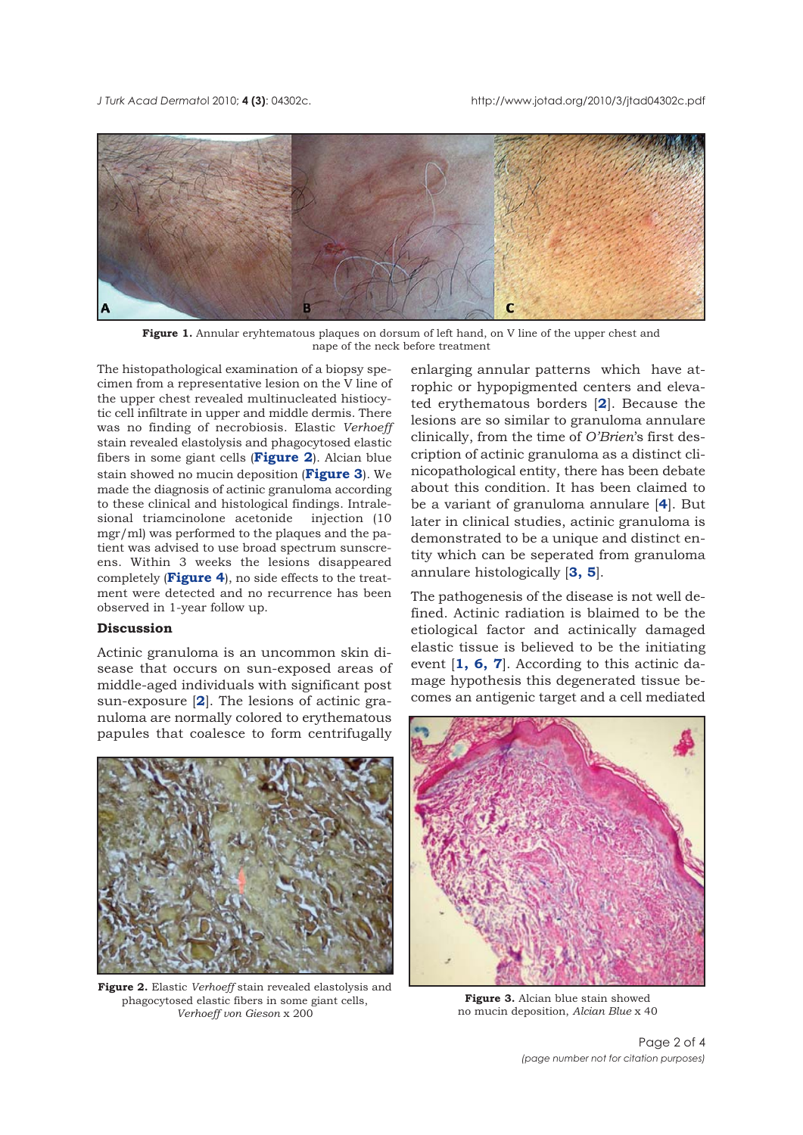*J Turk Acad Dermato*l 2010; **4 (3)**: 04302c. http://www.jotad.org/2010/3/jtad04302c.pdf



**Figure 1.** Annular eryhtematous plaques on dorsum of left hand, on V line of the upper chest and nape of the neck before treatment

The histopathological examination of a biopsy specimen from a representative lesion on the V line of the upper chest revealed multinucleated histiocytic cell infiltrate in upper and middle dermis. There was no finding of necrobiosis. Elastic *Verhoeff* stain revealed elastolysis and phagocytosed elastic fibers in some giant cells (**Figure 2**). Alcian blue stain showed no mucin deposition (**Figure 3**). We made the diagnosis of actinic granuloma according to these clinical and histological findings. Intralesional triamcinolone acetonide injection (10 mgr/ml) was performed to the plaques and the patient was advised to use broad spectrum sunscreens. Within 3 weeks the lesions disappeared completely (**Figure 4**), no side effects to the treatment were detected and no recurrence has been observed in 1-year follow up.

### **Discussion**

Actinic granuloma is an uncommon skin disease that occurs on sun-exposed areas of middle-aged individuals with significant post sun-exposure [**2**]. The lesions of actinic granuloma are normally colored to erythematous papules that coalesce to form centrifugally



**Figure 2.** Elastic *Verhoeff* stain revealed elastolysis and phagocytosed elastic fibers in some giant cells, *Verhoeff von Gieson* x 200

enlarging annular patterns which have atrophic or hypopigmented centers and elevated erythematous borders [**2**]. Because the lesions are so similar to granuloma annulare clinically, from the time of *O'Brien*'s first description of actinic granuloma as a distinct clinicopathological entity, there has been debate about this condition. It has been claimed to be a variant of granuloma annulare [**4**]. But later in clinical studies, actinic granuloma is demonstrated to be a unique and distinct entity which can be seperated from granuloma annulare histologically [**3, 5**].

The pathogenesis of the disease is not well defined. Actinic radiation is blaimed to be the etiological factor and actinically damaged elastic tissue is believed to be the initiating event [**1, 6, 7**]. According to this actinic damage hypothesis this degenerated tissue becomes an antigenic target and a cell mediated



**Figure 3.** Alcian blue stain showed no mucin deposition, *Alcian Blue* x 40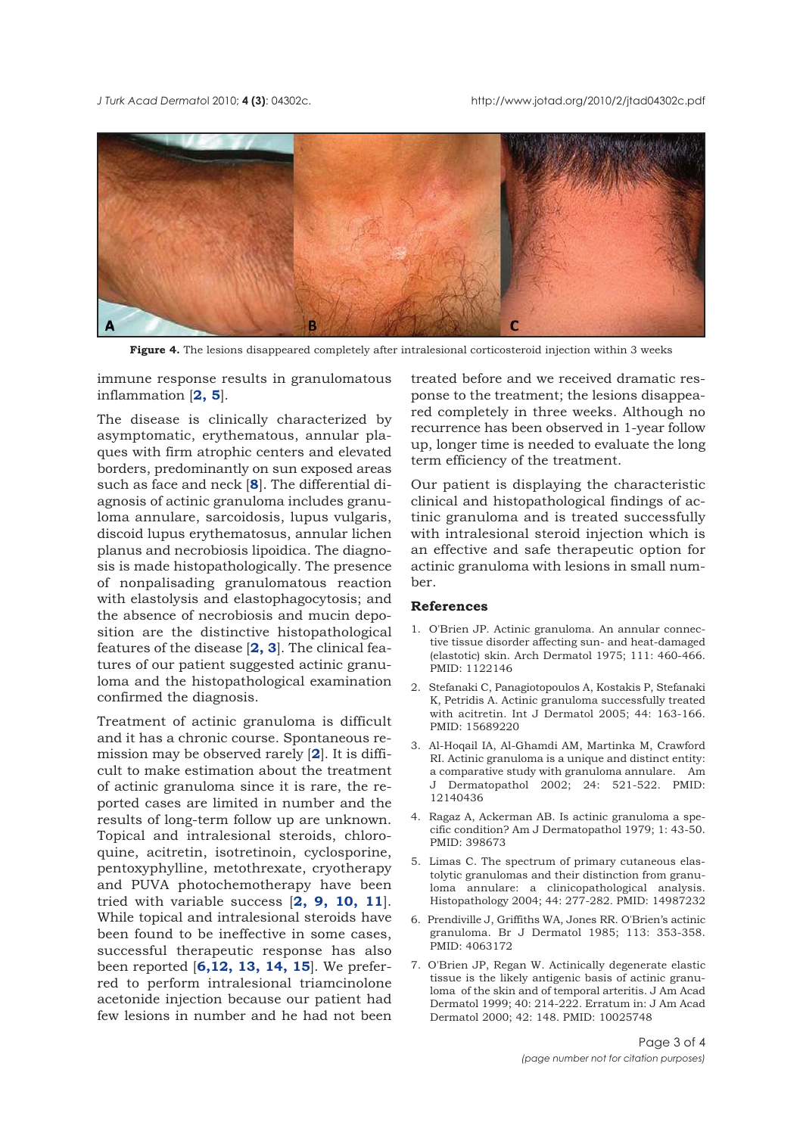

**Figure 4.** The lesions disappeared completely after intralesional corticosteroid injection within 3 weeks

immune response results in granulomatous inflammation [**2, 5**].

The disease is clinically characterized by asymptomatic, erythematous, annular plaques with firm atrophic centers and elevated borders, predominantly on sun exposed areas such as face and neck [**8**]. The differential diagnosis of actinic granuloma includes granuloma annulare, sarcoidosis, lupus vulgaris, discoid lupus erythematosus, annular lichen planus and necrobiosis lipoidica. The diagnosis is made histopathologically. The presence of nonpalisading granulomatous reaction with elastolysis and elastophagocytosis; and the absence of necrobiosis and mucin deposition are the distinctive histopathological features of the disease [**2, 3**]. The clinical features of our patient suggested actinic granuloma and the histopathological examination confirmed the diagnosis.

Treatment of actinic granuloma is difficult and it has a chronic course. Spontaneous remission may be observed rarely [**2**]. It is difficult to make estimation about the treatment of actinic granuloma since it is rare, the reported cases are limited in number and the results of long-term follow up are unknown. Topical and intralesional steroids, chloroquine, acitretin, isotretinoin, cyclosporine, pentoxyphylline, metothrexate, cryotherapy and PUVA photochemotherapy have been tried with variable success [**2, 9, 10, 11**]. While topical and intralesional steroids have been found to be ineffective in some cases, successful therapeutic response has also been reported [**6,12, 13, 14, 15**]. We preferred to perform intralesional triamcinolone acetonide injection because our patient had few lesions in number and he had not been

treated before and we received dramatic response to the treatment; the lesions disappeared completely in three weeks. Although no recurrence has been observed in 1-year follow up, longer time is needed to evaluate the long term efficiency of the treatment.

Our patient is displaying the characteristic clinical and histopathological findings of actinic granuloma and is treated successfully with intralesional steroid injection which is an effective and safe therapeutic option for actinic granuloma with lesions in small number.

#### **References**

- 1. O'Brien JP. Actinic granuloma. An annular connective tissue disorder affecting sun- and heat-damaged (elastotic) skin. Arch Dermatol 1975; 111: 460-466. PMID: 1122146
- 2. Stefanaki C, Panagiotopoulos A, Kostakis P, Stefanaki K, Petridis A. Actinic granuloma successfully treated with acitretin. Int J Dermatol 2005; 44: 163-166. PMID: 15689220
- 3. Al-Hoqail IA, Al-Ghamdi AM, Martinka M, Crawford RI. Actinic granuloma is a unique and distinct entity: a comparative study with granuloma annulare. Am J Dermatopathol 2002; 24: 521-522. PMID: 12140436
- 4. Ragaz A, Ackerman AB. Is actinic granuloma a specific condition? Am J Dermatopathol 1979; 1: 43-50. PMID: 398673
- 5. Limas C. The spectrum of primary cutaneous elastolytic granulomas and their distinction from granuloma annulare: a clinicopathological analysis. Histopathology 2004; 44: 277-282. PMID: 14987232
- 6. Prendiville J, Griffiths WA, Jones RR. O'Brien's actinic granuloma. Br J Dermatol 1985; 113: 353-358. PMID: 4063172
- 7. O'Brien JP, Regan W. Actinically degenerate elastic tissue is the likely antigenic basis of actinic granuloma of the skin and of temporal arteritis. J Am Acad Dermatol 1999; 40: 214-222. Erratum in: J Am Acad Dermatol 2000; 42: 148. PMID: 10025748